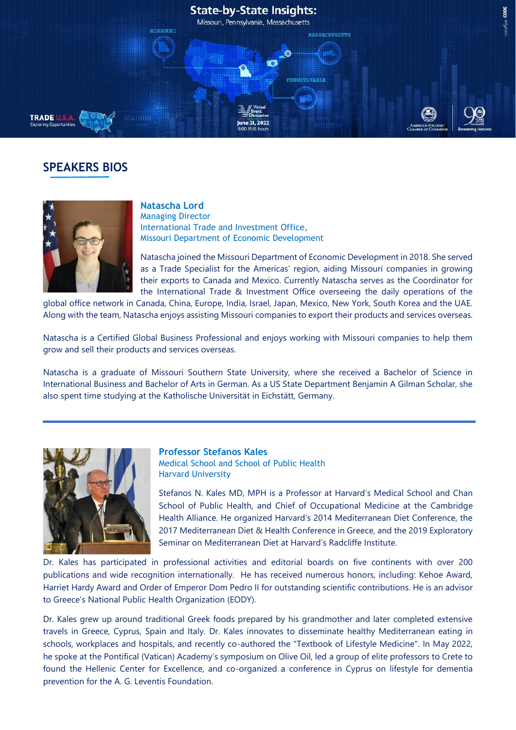

# **SPEAKERS BIOS**



## **Natascha Lord**

Managing Director International Trade and Investment Office, Missouri Department of Economic Development

Natascha joined the Missouri Department of Economic Development in 2018. She served as a Trade Specialist for the Americas' region, aiding Missouri companies in growing their exports to Canada and Mexico. Currently Natascha serves as the Coordinator for the International Trade & Investment Office overseeing the daily operations of the

global office network in Canada, China, Europe, India, Israel, Japan, Mexico, New York, South Korea and the UAE. Along with the team, Natascha enjoys assisting Missouri companies to export their products and services overseas.

Natascha is a Certified Global Business Professional and enjoys working with Missouri companies to help them grow and sell their products and services overseas.

Natascha is a graduate of Missouri Southern State University, where she received a Bachelor of Science in International Business and Bachelor of Arts in German. As a US State Department Benjamin A Gilman Scholar, she also spent time studying at the Katholische Universität in Eichstätt, Germany.



### **Professor Stefanos Kales** Medical School and School of Public Health Harvard University

Stefanos N. Kales MD, MPH is a Professor at Harvard's Medical School and Chan School of Public Health, and Chief of Occupational Medicine at the Cambridge Health Alliance. He organized Harvard's 2014 Mediterranean Diet Conference, the 2017 Mediterranean Diet & Health Conference in Greece, and the 2019 Exploratory Seminar on Mediterranean Diet at Harvard's Radcliffe Institute.

Dr. Kales has participated in professional activities and editorial boards on five continents with over 200 publications and wide recognition internationally. He has received numerous honors, including: Kehoe Award, Harriet Hardy Award and Order of Emperor Dom Pedro II for outstanding scientific contributions. He is an advisor to Greece's National Public Health Organization (EODY).

Dr. Kales grew up around traditional Greek foods prepared by his grandmother and later completed extensive travels in Greece, Cyprus, Spain and Italy. Dr. Kales innovates to disseminate healthy Mediterranean eating in schools, workplaces and hospitals, and recently co-authored the "Textbook of Lifestyle Medicine". In May 2022, he spoke at the Pontifical (Vatican) Academy's symposium on Olive Oil, led a group of elite professors to Crete to found the Hellenic Center for Excellence, and co-organized a conference in Cyprus on lifestyle for dementia prevention for the A. G. Leventis Foundation.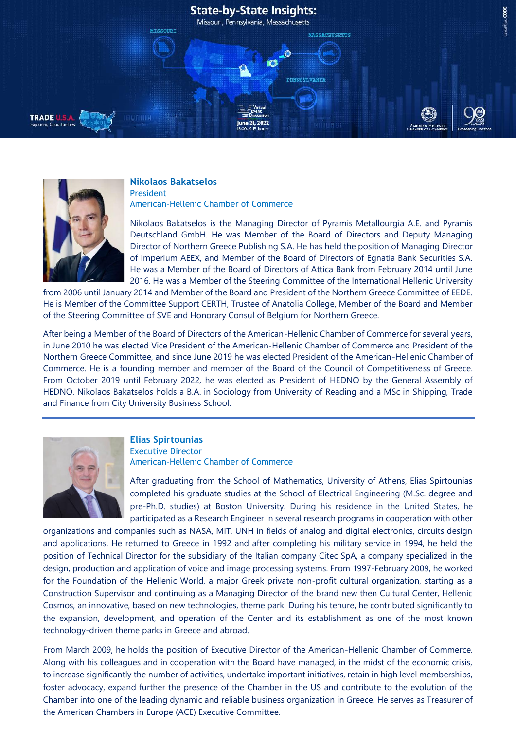## **State-by-State Insights:**

Missouri, Pennsylvania, Massachusetts

e 21, 2022

**TRADE U.S.A** 

### **Nikolaos Bakatselos** President

**MISSOURI** 

American-Hellenic Chamber of Commerce

Nikolaos Bakatselos is the Managing Director of Pyramis Metallourgia A.E. and Pyramis Deutschland GmbH. He was Member of the Board of Directors and Deputy Managing Director of Northern Greece Publishing S.A. He has held the position of Managing Director of Imperium AEEX, and Member of the Board of Directors of Egnatia Bank Securities S.A. He was a Member of the Board of Directors of Attica Bank from February 2014 until June 2016. He was a Member of the Steering Committee of the International Hellenic University

**MASSACHUSETTS** 

**PENNSYLVANI** 

from 2006 until January 2014 and Member of the Board and President of the Northern Greece Committee of EEDE. He is Member of the Committee Support CERTH, Trustee of Anatolia College, Member of the Board and Member of the Steering Committee of SVE and Honorary Consul of Belgium for Northern Greece.

After being a Member of the Board of Directors of the American-Hellenic Chamber of Commerce for several years, in June 2010 he was elected Vice President of the American-Hellenic Chamber of Commerce and President of the Northern Greece Committee, and since June 2019 he was elected President of the American-Hellenic Chamber of Commerce. He is a founding member and member of the Board of the Council of Competitiveness of Greece. From October 2019 until February 2022, he was elected as President of HEDNO by the General Assembly of HEDNO. Nikolaos Bakatselos holds a B.A. in Sociology from University of Reading and a MSc in Shipping, Trade and Finance from City University Business School.



### **Elias Spirtounias** Executive Director American-Hellenic Chamber of Commerce

After graduating from the School of Mathematics, University of Athens, Elias Spirtounias completed his graduate studies at the School of Electrical Engineering (M.Sc. degree and pre-Ph.D. studies) at Boston University. During his residence in the United States, he participated as a Research Engineer in several research programs in cooperation with other

organizations and companies such as NASA, MIT, UNH in fields of analog and digital electronics, circuits design and applications. He returned to Greece in 1992 and after completing his military service in 1994, he held the position of Technical Director for the subsidiary of the Italian company Citec SpA, a company specialized in the design, production and application of voice and image processing systems. From 1997-February 2009, he worked for the Foundation of the Hellenic World, a major Greek private non-profit cultural organization, starting as a Construction Supervisor and continuing as a Managing Director of the brand new then Cultural Center, Hellenic Cosmos, an innovative, based on new technologies, theme park. During his tenure, he contributed significantly to the expansion, development, and operation of the Center and its establishment as one of the most known technology-driven theme parks in Greece and abroad.

From March 2009, he holds the position of Executive Director of the American-Hellenic Chamber of Commerce. Along with his colleagues and in cooperation with the Board have managed, in the midst of the economic crisis, to increase significantly the number of activities, undertake important initiatives, retain in high level memberships, foster advocacy, expand further the presence of the Chamber in the US and contribute to the evolution of the Chamber into one of the leading dynamic and reliable business organization in Greece. He serves as Treasurer of the American Chambers in Europe (ACE) Executive Committee.